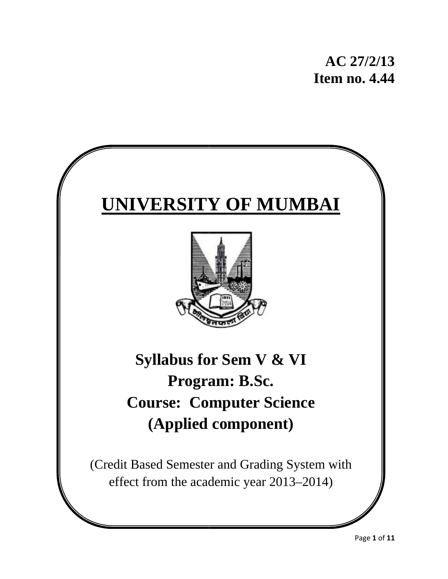# **UNIVERSITY OF MUMBAI**



# Syllabus for Sem V & VI **Course: Computer Science (Ap pplied compo onent) )Program: B.Sc.**

(Credit Based Semester and Grading System with effect from the academic year 2013–2014)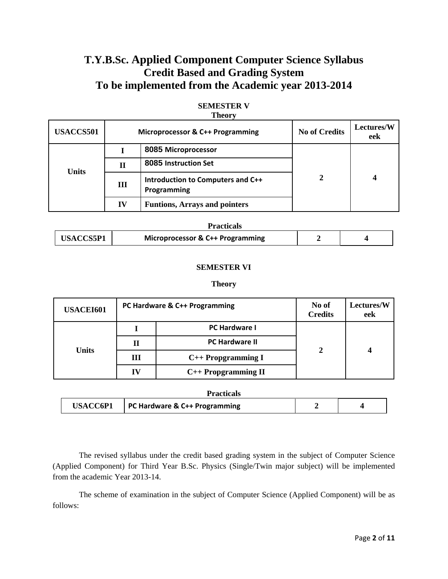# **T.Y.B.Sc. Applied Component Computer Science Syllabus Credit Based and Grading System To be implemented from the Academic year 2013-2014**

| <b>AMVVA</b> |                                  |                                                  |                      |                          |  |
|--------------|----------------------------------|--------------------------------------------------|----------------------|--------------------------|--|
| USACCS501    | Microprocessor & C++ Programming |                                                  | <b>No of Credits</b> | <b>Lectures/W</b><br>eek |  |
|              |                                  | 8085 Microprocessor                              | 2                    |                          |  |
| <b>Units</b> | П                                | 8085 Instruction Set                             |                      |                          |  |
|              | Ш                                | Introduction to Computers and C++<br>Programming |                      | 4                        |  |
|              | IV                               | <b>Funtions, Arrays and pointers</b>             |                      |                          |  |

#### **SEMESTER V Theory**

| Practicals |                                             |  |  |
|------------|---------------------------------------------|--|--|
| USACCS5P1  | <b>Microprocessor &amp; C++ Programming</b> |  |  |

#### **SEMESTER VI**

#### **Theory**

| <b>USACEI601</b> |    | PC Hardware & C++ Programming | No of<br><b>Credits</b> | Lectures/W<br>eek |
|------------------|----|-------------------------------|-------------------------|-------------------|
|                  |    | <b>PC Hardware I</b>          | $\overline{2}$          |                   |
|                  | П  | <b>PC Hardware II</b>         |                         |                   |
| <b>Units</b>     | Ш  | $C++$ Propgramming I          |                         |                   |
|                  | IV | $C++$ Propgramming II         |                         |                   |

| <b>Practicals</b> |                               |  |  |  |
|-------------------|-------------------------------|--|--|--|
| <b>USACC6P1</b>   | PC Hardware & C++ Programming |  |  |  |

The revised syllabus under the credit based grading system in the subject of Computer Science (Applied Component) for Third Year B.Sc. Physics (Single/Twin major subject) will be implemented from the academic Year 2013-14.

 The scheme of examination in the subject of Computer Science (Applied Component) will be as follows: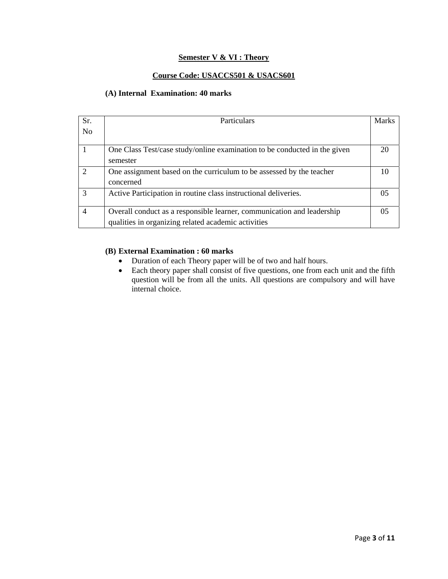#### **Semester V & VI : Theory**

#### **Course Code: USACCS501 & USACS601**

#### **(A) Internal Examination: 40 marks**

| Sr.            | Particulars                                                                                                                   | Marks |
|----------------|-------------------------------------------------------------------------------------------------------------------------------|-------|
| N <sub>o</sub> |                                                                                                                               |       |
|                | One Class Test/case study/online examination to be conducted in the given<br>semester                                         | 20    |
| $\mathcal{D}$  | One assignment based on the curriculum to be assessed by the teacher<br>concerned                                             | 10    |
| 3              | Active Participation in routine class instructional deliveries.                                                               | 05    |
| $\overline{4}$ | Overall conduct as a responsible learner, communication and leadership<br>qualities in organizing related academic activities | 05    |

#### **(B) External Examination : 60 marks**

- Duration of each Theory paper will be of two and half hours.
- Each theory paper shall consist of five questions, one from each unit and the fifth question will be from all the units. All questions are compulsory and will have internal choice.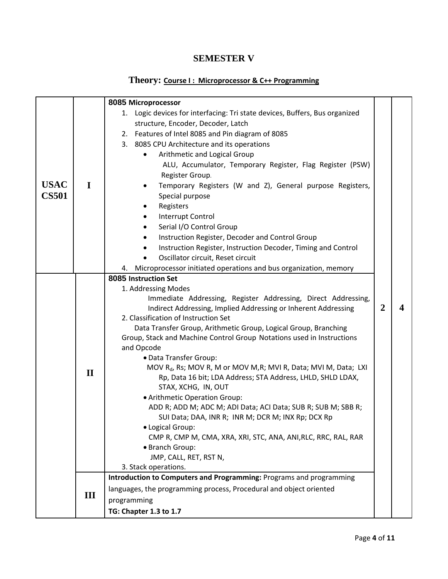## **SEMESTER V**

### **Theory: Course I : Microprocessor & C++ Programming**

|              |                     | 8085 Microprocessor                                                                                                 |                |  |
|--------------|---------------------|---------------------------------------------------------------------------------------------------------------------|----------------|--|
|              |                     | 1. Logic devices for interfacing: Tri state devices, Buffers, Bus organized                                         |                |  |
|              |                     | structure, Encoder, Decoder, Latch                                                                                  |                |  |
|              |                     | 2. Features of Intel 8085 and Pin diagram of 8085                                                                   |                |  |
|              |                     | 3. 8085 CPU Architecture and its operations                                                                         |                |  |
|              |                     | Arithmetic and Logical Group<br>$\bullet$                                                                           |                |  |
|              |                     | ALU, Accumulator, Temporary Register, Flag Register (PSW)                                                           |                |  |
|              |                     | Register Group.                                                                                                     |                |  |
| <b>USAC</b>  | $\mathbf I$         | Temporary Registers (W and Z), General purpose Registers,                                                           |                |  |
| <b>CS501</b> |                     | Special purpose                                                                                                     |                |  |
|              |                     | Registers<br>$\bullet$                                                                                              |                |  |
|              |                     | Interrupt Control                                                                                                   |                |  |
|              |                     | Serial I/O Control Group<br>$\bullet$                                                                               |                |  |
|              |                     | Instruction Register, Decoder and Control Group<br>$\bullet$                                                        |                |  |
|              |                     | Instruction Register, Instruction Decoder, Timing and Control                                                       |                |  |
|              |                     | Oscillator circuit, Reset circuit                                                                                   |                |  |
|              |                     | 4. Microprocessor initiated operations and bus organization, memory                                                 |                |  |
|              |                     | 8085 Instruction Set                                                                                                |                |  |
|              | 1. Addressing Modes |                                                                                                                     |                |  |
|              |                     | Immediate Addressing, Register Addressing, Direct Addressing,                                                       |                |  |
|              |                     | Indirect Addressing, Implied Addressing or Inherent Addressing                                                      | $\overline{2}$ |  |
|              |                     | 2. Classification of Instruction Set                                                                                |                |  |
|              |                     | Data Transfer Group, Arithmetic Group, Logical Group, Branching                                                     |                |  |
|              |                     | Group, Stack and Machine Control Group Notations used in Instructions                                               |                |  |
|              |                     | and Opcode                                                                                                          |                |  |
|              |                     | • Data Transfer Group:                                                                                              |                |  |
|              | $\mathbf{I}$        | MOV R <sub>d</sub> , Rs; MOV R, M or MOV M, R; MVI R, Data; MVI M, Data; LXI                                        |                |  |
|              |                     | Rp, Data 16 bit; LDA Address; STA Address, LHLD, SHLD LDAX,                                                         |                |  |
|              |                     | STAX, XCHG, IN, OUT                                                                                                 |                |  |
|              |                     | • Arithmetic Operation Group:                                                                                       |                |  |
|              |                     | ADD R; ADD M; ADC M; ADI Data; ACI Data; SUB R; SUB M; SBB R;<br>SUI Data; DAA, INR R; INR M; DCR M; INX Rp; DCX Rp |                |  |
|              |                     | • Logical Group:                                                                                                    |                |  |
|              |                     | CMP R, CMP M, CMA, XRA, XRI, STC, ANA, ANI, RLC, RRC, RAL, RAR                                                      |                |  |
|              |                     | • Branch Group:                                                                                                     |                |  |
|              |                     | JMP, CALL, RET, RST N,                                                                                              |                |  |
|              |                     | 3. Stack operations.                                                                                                |                |  |
|              |                     | Introduction to Computers and Programming: Programs and programming                                                 |                |  |
|              |                     | languages, the programming process, Procedural and object oriented                                                  |                |  |
|              | III                 | programming                                                                                                         |                |  |
|              |                     | TG: Chapter 1.3 to 1.7                                                                                              |                |  |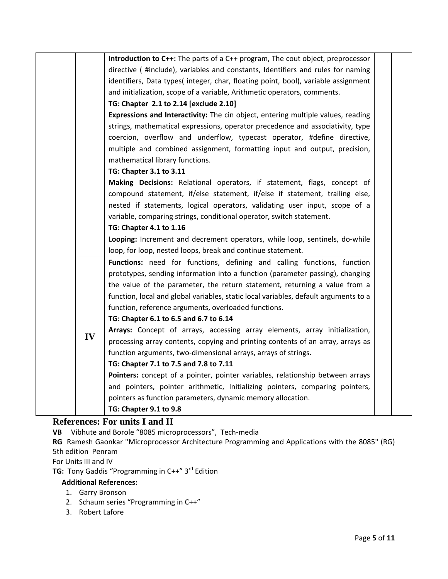|    | Introduction to C++: The parts of a C++ program, The cout object, preprocessor       |
|----|--------------------------------------------------------------------------------------|
|    | directive (#include), variables and constants, Identifiers and rules for naming      |
|    | identifiers, Data types(integer, char, floating point, bool), variable assignment    |
|    | and initialization, scope of a variable, Arithmetic operators, comments.             |
|    | TG: Chapter 2.1 to 2.14 [exclude 2.10]                                               |
|    | Expressions and Interactivity: The cin object, entering multiple values, reading     |
|    | strings, mathematical expressions, operator precedence and associativity, type       |
|    | coercion, overflow and underflow, typecast operator, #define directive,              |
|    | multiple and combined assignment, formatting input and output, precision,            |
|    | mathematical library functions.                                                      |
|    | TG: Chapter 3.1 to 3.11                                                              |
|    | Making Decisions: Relational operators, if statement, flags, concept of              |
|    | compound statement, if/else statement, if/else if statement, trailing else,          |
|    | nested if statements, logical operators, validating user input, scope of a           |
|    | variable, comparing strings, conditional operator, switch statement.                 |
|    | TG: Chapter 4.1 to 1.16                                                              |
|    | Looping: Increment and decrement operators, while loop, sentinels, do-while          |
|    | loop, for loop, nested loops, break and continue statement.                          |
|    | Functions: need for functions, defining and calling functions, function              |
|    | prototypes, sending information into a function (parameter passing), changing        |
|    | the value of the parameter, the return statement, returning a value from a           |
|    | function, local and global variables, static local variables, default arguments to a |
|    | function, reference arguments, overloaded functions.                                 |
|    | TG: Chapter 6.1 to 6.5 and 6.7 to 6.14                                               |
|    | Arrays: Concept of arrays, accessing array elements, array initialization,           |
| IV | processing array contents, copying and printing contents of an array, arrays as      |
|    | function arguments, two-dimensional arrays, arrays of strings.                       |
|    | TG: Chapter 7.1 to 7.5 and 7.8 to 7.11                                               |
|    | Pointers: concept of a pointer, pointer variables, relationship between arrays       |
|    |                                                                                      |
|    | and pointers, pointer arithmetic, Initializing pointers, comparing pointers,         |
|    | pointers as function parameters, dynamic memory allocation.                          |

#### **References: For units I and II**

**VB** Vibhute and Borole "8085 microprocessors", Tech‐media

**RG** Ramesh Gaonkar "Microprocessor Architecture Programming and Applications with the 8085" (RG) 5th edition Penram

For Units III and IV

**TG:** Tony Gaddis "Programming in C++" 3<sup>rd</sup> Edition

- **Additional References:**
- 1. Garry Bronson
- 2. Schaum series "Programming in C++"
- 3. Robert Lafore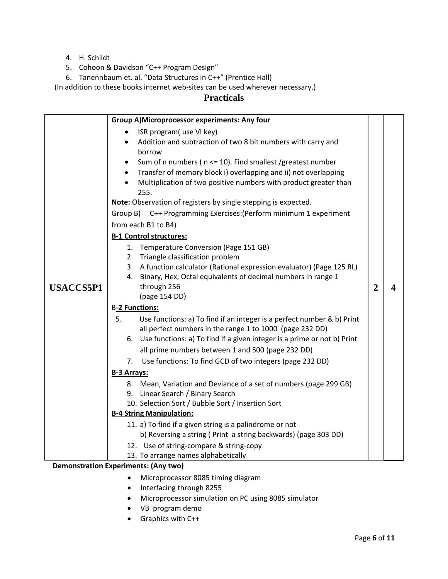- 4. H. Schildt
- 5. Cohoon & Davidson "C++ Program Design"
- 6. Tanennbaum et. al. "Data Structures in C++" (Prentice Hall)

(In addition to these books internet web‐sites can be used wherever necessary.)

#### **Practicals**

|                  | <b>Group A)Microprocessor experiments: Any four</b>                                 |                |   |
|------------------|-------------------------------------------------------------------------------------|----------------|---|
|                  | ISR program( use VI key)                                                            |                |   |
|                  | Addition and subtraction of two 8 bit numbers with carry and<br>$\bullet$<br>borrow |                |   |
|                  | Sum of n numbers ( n <= 10). Find smallest /greatest number<br>٠                    |                |   |
|                  | Transfer of memory block i) overlapping and ii) not overlapping<br>$\bullet$        |                |   |
|                  | Multiplication of two positive numbers with product greater than                    |                |   |
|                  | 255.                                                                                |                |   |
|                  | Note: Observation of registers by single stepping is expected.                      |                |   |
|                  | Group B) C++ Programming Exercises: (Perform minimum 1 experiment                   |                |   |
|                  | from each B1 to B4)                                                                 |                |   |
|                  | <b>B-1 Control structures:</b>                                                      |                |   |
|                  | 1. Temperature Conversion (Page 151 GB)                                             |                |   |
|                  | 2. Triangle classification problem                                                  |                |   |
|                  | 3. A function calculator (Rational expression evaluator) (Page 125 RL)              |                |   |
|                  | Binary, Hex, Octal equivalents of decimal numbers in range 1<br>4.                  |                |   |
| <b>USACCS5P1</b> | through 256                                                                         | $\overline{2}$ | 4 |
|                  | (page 154 DD)                                                                       |                |   |
|                  | <b>B-2 Functions:</b>                                                               |                |   |
|                  | 5.<br>Use functions: a) To find if an integer is a perfect number & b) Print        |                |   |
|                  | all perfect numbers in the range 1 to 1000 (page 232 DD)                            |                |   |
|                  | 6. Use functions: a) To find if a given integer is a prime or not b) Print          |                |   |
|                  | all prime numbers between 1 and 500 (page 232 DD)                                   |                |   |
|                  | Use functions: To find GCD of two integers (page 232 DD)<br>7.                      |                |   |
|                  | <b>B-3 Arrays:</b>                                                                  |                |   |
|                  | 8. Mean, Variation and Deviance of a set of numbers (page 299 GB)                   |                |   |
|                  | 9. Linear Search / Binary Search                                                    |                |   |
|                  | 10. Selection Sort / Bubble Sort / Insertion Sort                                   |                |   |
|                  | <b>B-4 String Manipulation:</b>                                                     |                |   |
|                  | 11. a) To find if a given string is a palindrome or not                             |                |   |
|                  | b) Reversing a string (Print a string backwards) (page 303 DD)                      |                |   |
|                  | 12. Use of string-compare & string-copy                                             |                |   |
|                  | 13. To arrange names alphabetically<br>Demonstration Exneriments: (Any two)         |                |   |

#### **Demonstration Experiments: (Any two)**

- Microprocessor 8085 timing diagram
- Interfacing through 8255
- Microprocessor simulation on PC using 8085 simulator
- VB program demo
- Graphics with C++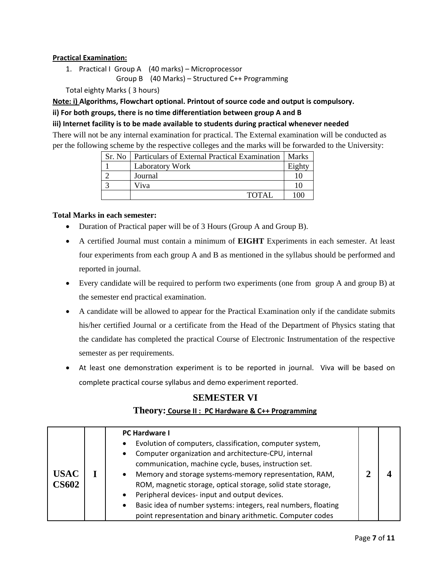#### **Practical Examination:**

1. Practical I Group A (40 marks) – Microprocessor Group B (40 Marks) – Structured C++ Programming

Total eighty Marks ( 3 hours)

**Note: i) Algorithms, Flowchart optional. Printout of source code and output is compulsory.**

#### **ii) For both groups, there is no time differentiation between group A and B**

#### **iii) Internet facility is to be made available to students during practical whenever needed**

There will not be any internal examination for practical. The External examination will be conducted as per the following scheme by the respective colleges and the marks will be forwarded to the University:

| Sr. No 1 | Particulars of External Practical Examination | <b>Marks</b> |
|----------|-----------------------------------------------|--------------|
|          | Laboratory Work                               | Eighty       |
|          | Journal                                       |              |
|          | Viva                                          | 10           |
|          | TOTAL                                         | 100          |

#### **Total Marks in each semester:**

- Duration of Practical paper will be of 3 Hours (Group A and Group B).
- A certified Journal must contain a minimum of **EIGHT** Experiments in each semester. At least four experiments from each group A and B as mentioned in the syllabus should be performed and reported in journal.
- Every candidate will be required to perform two experiments (one from group A and group B) at the semester end practical examination.
- A candidate will be allowed to appear for the Practical Examination only if the candidate submits his/her certified Journal or a certificate from the Head of the Department of Physics stating that the candidate has completed the practical Course of Electronic Instrumentation of the respective semester as per requirements.
- At least one demonstration experiment is to be reported in journal. Viva will be based on complete practical course syllabus and demo experiment reported.

# **SEMESTER VI Theory: Course II : PC Hardware & C++ Programming**

|                             | <b>PC Hardware I</b>                                                                                                                                                                                                                                                                                                                                                                                                                                                                      |  |
|-----------------------------|-------------------------------------------------------------------------------------------------------------------------------------------------------------------------------------------------------------------------------------------------------------------------------------------------------------------------------------------------------------------------------------------------------------------------------------------------------------------------------------------|--|
| <b>USAC</b><br><b>CS602</b> | Evolution of computers, classification, computer system,<br>Computer organization and architecture-CPU, internal<br>communication, machine cycle, buses, instruction set.<br>Memory and storage systems-memory representation, RAM,<br>٠<br>ROM, magnetic storage, optical storage, solid state storage,<br>Peripheral devices- input and output devices.<br>Basic idea of number systems: integers, real numbers, floating<br>point representation and binary arithmetic. Computer codes |  |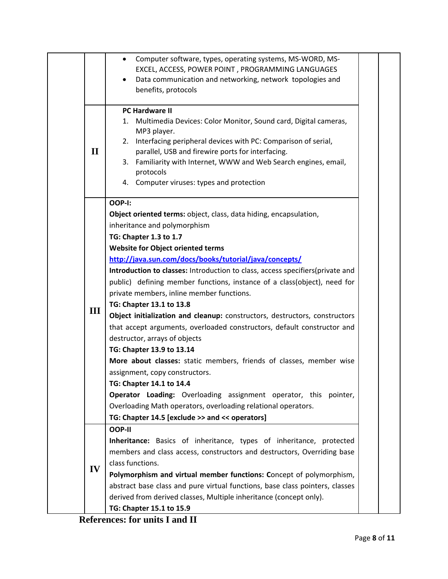|              | Computer software, types, operating systems, MS-WORD, MS-<br>$\bullet$                                                |  |
|--------------|-----------------------------------------------------------------------------------------------------------------------|--|
|              | EXCEL, ACCESS, POWER POINT, PROGRAMMING LANGUAGES                                                                     |  |
|              | Data communication and networking, network topologies and                                                             |  |
|              | benefits, protocols                                                                                                   |  |
|              | <b>PC Hardware II</b>                                                                                                 |  |
|              | Multimedia Devices: Color Monitor, Sound card, Digital cameras,<br>1.                                                 |  |
|              | MP3 player.                                                                                                           |  |
| $\mathbf{I}$ | Interfacing peripheral devices with PC: Comparison of serial,<br>2.                                                   |  |
|              | parallel, USB and firewire ports for interfacing.<br>3. Familiarity with Internet, WWW and Web Search engines, email, |  |
|              | protocols                                                                                                             |  |
|              | 4. Computer viruses: types and protection                                                                             |  |
|              | OOP-I:                                                                                                                |  |
|              | Object oriented terms: object, class, data hiding, encapsulation,                                                     |  |
|              | inheritance and polymorphism                                                                                          |  |
|              | TG: Chapter 1.3 to 1.7                                                                                                |  |
|              | <b>Website for Object oriented terms</b>                                                                              |  |
|              | http://java.sun.com/docs/books/tutorial/java/concepts/                                                                |  |
|              | Introduction to classes: Introduction to class, access specifiers (private and                                        |  |
|              | public) defining member functions, instance of a class(object), need for                                              |  |
|              | private members, inline member functions.                                                                             |  |
|              | TG: Chapter 13.1 to 13.8                                                                                              |  |
| III          | Object initialization and cleanup: constructors, destructors, constructors                                            |  |
|              | that accept arguments, overloaded constructors, default constructor and                                               |  |
|              | destructor, arrays of objects                                                                                         |  |
|              | TG: Chapter 13.9 to 13.14                                                                                             |  |
|              | More about classes: static members, friends of classes, member wise                                                   |  |
|              | assignment, copy constructors.                                                                                        |  |
|              | TG: Chapter 14.1 to 14.4                                                                                              |  |
|              | Operator Loading: Overloading assignment operator, this pointer,                                                      |  |
|              | Overloading Math operators, overloading relational operators.                                                         |  |
|              | TG: Chapter 14.5 [exclude >> and << operators]                                                                        |  |
|              | OOP-II                                                                                                                |  |
|              | Inheritance: Basics of inheritance, types of inheritance, protected                                                   |  |
|              | members and class access, constructors and destructors, Overriding base                                               |  |
|              | class functions.                                                                                                      |  |
| IV           | Polymorphism and virtual member functions: Concept of polymorphism,                                                   |  |
|              | abstract base class and pure virtual functions, base class pointers, classes                                          |  |
|              | derived from derived classes, Multiple inheritance (concept only).                                                    |  |
|              | TG: Chapter 15.1 to 15.9                                                                                              |  |

 **References: for units I and II**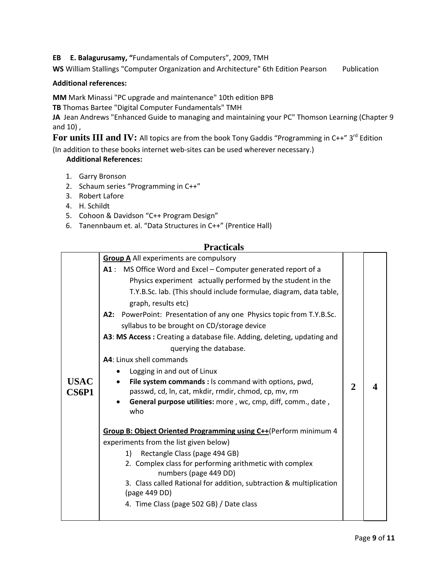**EB E. Balagurusamy, "**Fundamentals of Computers", 2009, TMH

**WS** William Stallings "Computer Organization and Architecture" 6th Edition Pearson Publication

#### **Additional references:**

**MM** Mark Minassi "PC upgrade and maintenance" 10th edition BPB

**TB** Thomas Bartee "Digital Computer Fundamentals" TMH

**JA** Jean Andrews "Enhanced Guide to managing and maintaining your PC" Thomson Learning (Chapter 9 and 10) ,

For units III and IV: All topics are from the book Tony Gaddis "Programming in C++" 3<sup>rd</sup> Edition

(In addition to these books internet web‐sites can be used wherever necessary.)

#### **Additional References:**

- 1. Garry Bronson
- 2. Schaum series "Programming in C++"
- 3. Robert Lafore
- 4. H. Schildt
- 5. Cohoon & Davidson "C++ Program Design"
- 6. Tanennbaum et. al. "Data Structures in C++" (Prentice Hall)

#### **Practicals**

|             | <b>Group A</b> All experiments are compulsory                                    |   |  |
|-------------|----------------------------------------------------------------------------------|---|--|
|             | A1: MS Office Word and Excel - Computer generated report of a                    |   |  |
|             | Physics experiment actually performed by the student in the                      |   |  |
|             | T.Y.B.Sc. lab. (This should include formulae, diagram, data table,               |   |  |
|             | graph, results etc)                                                              |   |  |
|             | A2: PowerPoint: Presentation of any one Physics topic from T.Y.B.Sc.             |   |  |
|             | syllabus to be brought on CD/storage device                                      |   |  |
|             | A3: MS Access: Creating a database file. Adding, deleting, updating and          |   |  |
|             | querying the database.                                                           |   |  |
|             | A4: Linux shell commands                                                         |   |  |
|             | Logging in and out of Linux                                                      |   |  |
| <b>USAC</b> | File system commands : Is command with options, pwd,                             | 2 |  |
| CS6P1       | passwd, cd, ln, cat, mkdir, rmdir, chmod, cp, mv, rm                             |   |  |
|             | General purpose utilities: more, wc, cmp, diff, comm., date,<br>who              |   |  |
|             |                                                                                  |   |  |
|             | Group B: Object Oriented Programming using C++(Perform minimum 4                 |   |  |
|             | experiments from the list given below)                                           |   |  |
|             | Rectangle Class (page 494 GB)<br>1)                                              |   |  |
|             | 2. Complex class for performing arithmetic with complex<br>numbers (page 449 DD) |   |  |
|             | 3. Class called Rational for addition, subtraction & multiplication              |   |  |
|             | (page 449 DD)                                                                    |   |  |
|             | 4. Time Class (page 502 GB) / Date class                                         |   |  |
|             |                                                                                  |   |  |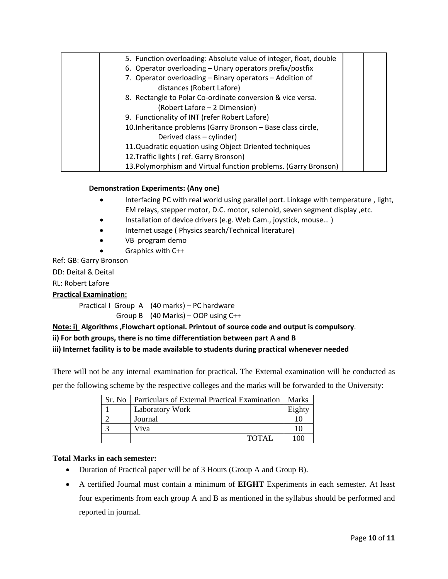| 5. Function overloading: Absolute value of integer, float, double |  |
|-------------------------------------------------------------------|--|
| 6. Operator overloading - Unary operators prefix/postfix          |  |
| 7. Operator overloading - Binary operators - Addition of          |  |
| distances (Robert Lafore)                                         |  |
| 8. Rectangle to Polar Co-ordinate conversion & vice versa.        |  |
| (Robert Lafore – 2 Dimension)                                     |  |
| 9. Functionality of INT (refer Robert Lafore)                     |  |
| 10. Inheritance problems (Garry Bronson - Base class circle,      |  |
| Derived class - cylinder)                                         |  |
| 11. Quadratic equation using Object Oriented techniques           |  |
| 12. Traffic lights (ref. Garry Bronson)                           |  |
| 13. Polymorphism and Virtual function problems. (Garry Bronson)   |  |

#### **Demonstration Experiments: (Any one)**

- Interfacing PC with real world using parallel port. Linkage with temperature , light, EM relays, stepper motor, D.C. motor, solenoid, seven segment display ,etc.
- Installation of device drivers (e.g. Web Cam., joystick, mouse...)
- Internet usage ( Physics search/Technical literature)
- VB program demo
- Graphics with C++

Ref: GB: Garry Bronson

DD: Deital & Deital

RL: Robert Lafore

#### **Practical Examination:**

Practical I Group A (40 marks) – PC hardware Group B  $(40$  Marks) – OOP using C++

#### **Note: i) Algorithms ,Flowchart optional. Printout of source code and output is compulsory**.

#### **ii) For both groups, there is no time differentiation between part A and B**

#### **iii) Internet facility is to be made available to students during practical whenever needed**

There will not be any internal examination for practical. The External examination will be conducted as per the following scheme by the respective colleges and the marks will be forwarded to the University:

| Sr. No   Particulars of External Practical Examination | <b>Marks</b> |
|--------------------------------------------------------|--------------|
| <b>Laboratory Work</b>                                 | Eighty       |
| Journal                                                |              |
| Viva                                                   |              |
| <b>TOTAL</b>                                           | $\Omega$     |

#### **Total Marks in each semester:**

- Duration of Practical paper will be of 3 Hours (Group A and Group B).
- A certified Journal must contain a minimum of **EIGHT** Experiments in each semester. At least four experiments from each group A and B as mentioned in the syllabus should be performed and reported in journal.